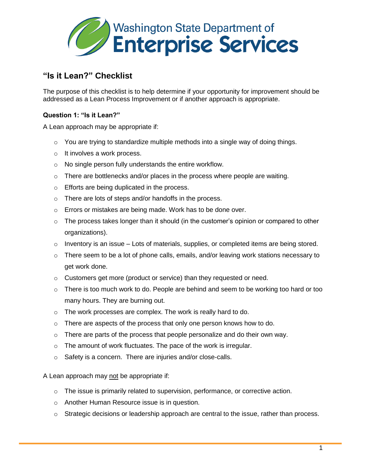

## **"Is it Lean?" Checklist**

The purpose of this checklist is to help determine if your opportunity for improvement should be addressed as a Lean Process Improvement or if another approach is appropriate.

## **Question 1: "Is it Lean?"**

A Lean approach may be appropriate if:

- $\circ$  You are trying to standardize multiple methods into a single way of doing things.
- o It involves a work process.
- o No single person fully understands the entire workflow.
- $\circ$  There are bottlenecks and/or places in the process where people are waiting.
- o Efforts are being duplicated in the process.
- o There are lots of steps and/or handoffs in the process.
- o Errors or mistakes are being made. Work has to be done over.
- $\circ$  The process takes longer than it should (in the customer's opinion or compared to other organizations).
- $\circ$  Inventory is an issue Lots of materials, supplies, or completed items are being stored.
- $\circ$  There seem to be a lot of phone calls, emails, and/or leaving work stations necessary to get work done.
- o Customers get more (product or service) than they requested or need.
- $\circ$  There is too much work to do. People are behind and seem to be working too hard or too many hours. They are burning out.
- o The work processes are complex. The work is really hard to do.
- $\circ$  There are aspects of the process that only one person knows how to do.
- $\circ$  There are parts of the process that people personalize and do their own way.
- o The amount of work fluctuates. The pace of the work is irregular.
- o Safety is a concern. There are injuries and/or close-calls.

A Lean approach may not be appropriate if:

- $\circ$  The issue is primarily related to supervision, performance, or corrective action.
- o Another Human Resource issue is in question.
- o Strategic decisions or leadership approach are central to the issue, rather than process.